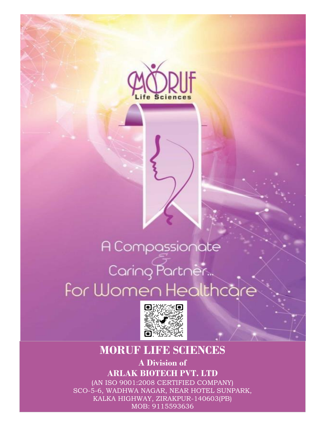

## A Compassionate Caring Partner<br>For Women Healthcare



## **MORUF LIFE SCIENCES**

**A Division of ARLAK BIOTECH PVT. LTD** (AN ISO 9001:2008 CERTIFIED COMPANY)

SCO-5-6, WADHWA NAGAR, NEAR HOTEL SUNPARK, KALKA HIGHWAY, ZIRAKPUR-140603(PB) MOB: 9115593636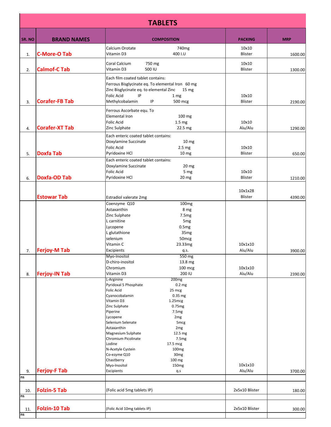| <b>TABLETS</b> |                       |                                                                                                                                                                                                                                                                                                               |                                                                                                                                                                                                                                                                                  |                    |            |
|----------------|-----------------------|---------------------------------------------------------------------------------------------------------------------------------------------------------------------------------------------------------------------------------------------------------------------------------------------------------------|----------------------------------------------------------------------------------------------------------------------------------------------------------------------------------------------------------------------------------------------------------------------------------|--------------------|------------|
| SR. NO         | <b>BRAND NAMES</b>    |                                                                                                                                                                                                                                                                                                               | <b>COMPOSITION</b>                                                                                                                                                                                                                                                               | <b>PACKING</b>     | <b>MRP</b> |
| 1.             | <b>C-More-O Tab</b>   | Calcium Orotate<br>Vitamin D3                                                                                                                                                                                                                                                                                 | 740 <sub>mg</sub><br>400 I.U                                                                                                                                                                                                                                                     | 10x10<br>Blister   | 1600.00    |
| 2.             | <b>Calmof-C Tab</b>   | Coral Calcium<br>750 mg<br>Vitamin D3<br>500 IU                                                                                                                                                                                                                                                               |                                                                                                                                                                                                                                                                                  | 10x10<br>Blister   | 1300.00    |
| 3.             | <b>Corafer-FB Tab</b> | Each film coated tablet contains:<br>Ferrous Bisglycinate eq. To elemental Iron 60 mg<br>Zinc Bisglycinate eq. to elemental Zinc<br><b>Folic Acid</b><br>IP<br>Methylcobalamin<br>IP                                                                                                                          | 15 mg<br>1 <sub>mg</sub><br>500 mcg                                                                                                                                                                                                                                              | 10x10<br>Blister   | 2190.00    |
|                |                       | Ferrous Ascorbate equ. To<br>Elemental Iron<br><b>Folic Acid</b>                                                                                                                                                                                                                                              | 100 mg<br>1.5 mg                                                                                                                                                                                                                                                                 | 10x10              |            |
| 4.             | <b>Corafer-XT Tab</b> | Zinc Sulphate<br>Each enteric coated tablet contains:<br>Doxylamine Succinate<br><b>Folic Acid</b>                                                                                                                                                                                                            | 22.5 mg<br>10 <sub>mg</sub><br>2.5 <sub>mg</sub>                                                                                                                                                                                                                                 | Alu/Alu<br>10x10   | 1290.00    |
| 5.             | <b>Doxfa Tab</b>      | Pyridoxine HCl<br>Each enteric coated tablet contains:<br>Doxylamine Succinate<br><b>Folic Acid</b>                                                                                                                                                                                                           | 10 <sub>mg</sub><br>20 <sub>mg</sub><br>5 mg                                                                                                                                                                                                                                     | Blister<br>10x10   | 650.00     |
| 6.             | <b>Doxfa-OD Tab</b>   | Pyridoxine HCl                                                                                                                                                                                                                                                                                                | 20 mg                                                                                                                                                                                                                                                                            | Blister            | 1210.00    |
|                | <b>Estowar Tab</b>    | Estradiol valerate 2mg<br>Coenzyme Q10                                                                                                                                                                                                                                                                        | 100 <sub>mg</sub>                                                                                                                                                                                                                                                                | 10x1x28<br>Blister | 4390.00    |
|                |                       | Astaxanthin<br>Zinc Sulphate<br>L carnitine<br>Lycopene<br>L glutathione<br>selenium<br>Vitamin C                                                                                                                                                                                                             | 8 mg<br>7.5 <sub>mg</sub><br>5 <sub>mg</sub><br>0.5mg<br>35 <sub>mg</sub><br>50 <sub>mcg</sub><br>23.33mg                                                                                                                                                                        | 10x1x10            |            |
| 7.             | <b>Ferjoy-M Tab</b>   | Excipients<br>Myo-Inositol<br>D-chiro-inositol<br>Chromium                                                                                                                                                                                                                                                    | q.s.<br>550 mg<br>13.8 mg<br>100 mcg                                                                                                                                                                                                                                             | Alu/Alu<br>10x1x10 | 3900.00    |
| 8.             | <b>Ferjoy-IN Tab</b>  | Vitamin D3<br>L-Arginine<br>Pyridoxal 5 Phosphate<br><b>Folic Acid</b><br>Cyanocobalamin<br>Vitamin D3<br>Zinc Sulphate<br>Piperine<br>Lycopene<br>Selenium Selenate<br>Astaxanthin<br>Magnesium Sulphate<br>Chromium Picolinate<br>Lodine<br>N-Acetyle Cystein<br>Co-ezyme Q10<br>Chastberry<br>Myo-Inositol | 200 IU<br>200 <sub>mg</sub><br>0.2 <sub>mg</sub><br>25 mcg<br>0.35 mg<br>1.25mg<br>0.75mg<br>7.5 <sub>mg</sub><br>2 <sub>mg</sub><br>5 <sub>mcg</sub><br>2 <sub>mg</sub><br>12.5 mg<br>7.5mg<br>17.5 mcg<br>100 <sub>mg</sub><br>30 <sub>mg</sub><br>100 mg<br>150 <sub>mg</sub> | Alu/Alu<br>10x1x10 | 2390.00    |
| 9.<br>ns       | <b>Ferjoy-F Tab</b>   | Excipients                                                                                                                                                                                                                                                                                                    | q.s                                                                                                                                                                                                                                                                              | Alu/Alu            | 3700.00    |
| 10.<br>ns      | <b>Folzin-5 Tab</b>   | (Folic acid 5mg tablets IP)                                                                                                                                                                                                                                                                                   |                                                                                                                                                                                                                                                                                  | 2x5x10 Blister     | 180.00     |
| 11.<br>ns      | <b>Folzin-10 Tab</b>  | (Folic Acid 10mg tablets IP)                                                                                                                                                                                                                                                                                  |                                                                                                                                                                                                                                                                                  | 2x5x10 Blister     | 300.00     |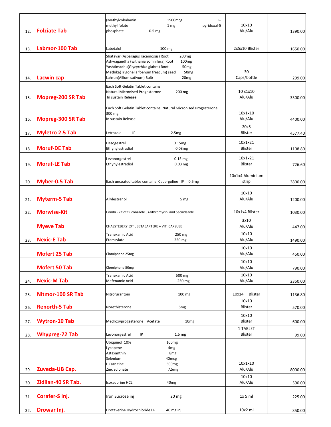|     |                          | (Methylcobalamin<br>1500mcg<br>Ŀ<br>methyl folate<br>1 mg<br>pyridoxal-5                                                | 10x10               |         |
|-----|--------------------------|-------------------------------------------------------------------------------------------------------------------------|---------------------|---------|
| 12. | <b>Folziate Tab</b>      | phosphate<br>0.5 <sub>mg</sub>                                                                                          | Alu/Alu             | 1390.00 |
|     |                          |                                                                                                                         |                     |         |
| 13. | Labmor-100 Tab           | Labetalol<br>100 mg                                                                                                     | 2x5x10 Blister      | 1650.00 |
|     |                          | Shatavari(Asparagus racemosus) Root<br>200 <sub>mg</sub>                                                                |                     |         |
|     |                          | Ashwagandha (withania somnifera) Root<br>100 <sub>mg</sub>                                                              |                     |         |
|     |                          | Yashtimadhu(Glycyrrhiza glabra) Root<br>50 <sub>mg</sub><br>Methika(Trigonella foenum freacum) seed<br>50 <sub>mg</sub> | 30                  |         |
| 14. | <b>Lacwin cap</b>        | Lahsun(Allium sativum) Bulb<br>20 <sub>mg</sub>                                                                         | Caps/bottle         | 299.00  |
|     |                          | Each Soft Gelatin Tablet contains:                                                                                      |                     |         |
| 15. | <b>Mopreg-200 SR Tab</b> | Natural Micronised Progesterone<br>200 mg<br>In sustain Release                                                         | 10 x1x10<br>Alu/Alu | 3300.00 |
|     |                          |                                                                                                                         |                     |         |
|     |                          | Each Soft Gelatin Tablet contains: Natural Micronised Progesterone                                                      | 10x1x10             |         |
| 16. | <b>Mopreg-300 SR Tab</b> | 300 mg<br>In sustain Release                                                                                            | Alu/Alu             | 4400.00 |
|     |                          |                                                                                                                         | 20x5                |         |
| 17. | <b>Myletro 2.5 Tab</b>   | IP<br>Letrozole<br>2.5mg                                                                                                | <b>Blister</b>      | 4577.40 |
|     |                          | Desogestrel<br>0.15mg                                                                                                   | 10x1x21             |         |
| 18. | <b>Moruf-DE Tab</b>      | Ethynylestradiol<br>0.03mg                                                                                              | <b>Blister</b>      | 1108.80 |
|     |                          | $0.15$ mg<br>Levonorgestrel                                                                                             | 10x1x21             |         |
| 19. | <b>Moruf-LE Tab</b>      | Ethynylestradiol<br>$0.03$ mg                                                                                           | Blister             | 726.60  |
|     |                          |                                                                                                                         | 10x1x4 Aluminium    |         |
| 20. | <b>Myber-0.5 Tab</b>     | Each uncoated tables contains: Cabergoline IP 0.5mg                                                                     | strip               | 3800.00 |
|     |                          |                                                                                                                         |                     |         |
|     | <b>Myterm-5 Tab</b>      | Allylestrenol<br>5 mg                                                                                                   | 10x10<br>Alu/Alu    |         |
| 21. |                          |                                                                                                                         |                     | 1200.00 |
| 22. | <b>Morwise-Kit</b>       | Combi - kit of fluconazole, Azithromycin and Secnidazole                                                                | 10x1x4 Blister      | 1030.00 |
|     |                          |                                                                                                                         | 3x10                |         |
|     | <b>Myeve Tab</b>         | CHASSTEBERY EXT, BETAEARTERE + VIT. CAPSULE                                                                             | Alu/Alu             | 447.00  |
|     |                          | Tranexamic Acid<br>250 mg                                                                                               | 10x10               |         |
| 23. | <b>Nexic-E Tab</b>       | Etamsylate<br>250 mg                                                                                                    | Alu/Alu             | 1490.00 |
|     | <b>Mofert 25 Tab</b>     | Clomiphene 25mg                                                                                                         | 10x10<br>Alu/Alu    | 450.00  |
|     |                          |                                                                                                                         | 10x10               |         |
|     | <b>Mofert 50 Tab</b>     | Clomiphene 50mg                                                                                                         | Alu/Alu             | 790.00  |
|     |                          | 500 mg<br>Tranexamic Acid                                                                                               | 10x10               |         |
| 24. | <b>Nexic-M Tab</b>       | Mefenamic Acid<br>250 mg                                                                                                | Alu/Alu             | 2350.00 |
| 25. | Nitmor-100 SR Tab        | Nitrofurantoin<br>100 mg                                                                                                | 10x14<br>Blister    | 1136.80 |
|     |                          |                                                                                                                         | 10x10               |         |
| 26. | <b>Renorth-5 Tab</b>     | Norethisterone<br>5 <sub>mg</sub>                                                                                       | Blister             | 570.00  |
|     |                          |                                                                                                                         | 10x10               |         |
| 27. | <b>Wytron-10 Tab</b>     | Medroxyprogesterone Acetate<br>10 <sub>mg</sub>                                                                         | Blister             | 600.00  |
| 28. | <b>Whypreg-72 Tab</b>    | Levonorgestrel<br>ΙP<br>1.5 <sub>mg</sub>                                                                               | 1 TABLET<br>Blister | 99.00   |
|     |                          | Ubiquinol 10%<br>100 <sub>mg</sub>                                                                                      |                     |         |
|     |                          | Lycopene<br>4 <sub>mg</sub>                                                                                             |                     |         |
|     |                          | Astaxanthin<br>8 <sub>mg</sub><br>Selenium<br>40 <sub>mcg</sub>                                                         |                     |         |
|     |                          | L Carnitine<br>500 <sub>mg</sub>                                                                                        | 10x1x10             |         |
| 29. | Zuveda-UB Cap.           | Zinc sulphate<br>7.5 <sub>mg</sub>                                                                                      | Alu/Alu             | 8000.00 |
|     | Zidilan-40 SR Tab.       | <b>Isoxsuprine HCL</b>                                                                                                  | 10x10               |         |
| 30. |                          | 40 <sub>mg</sub>                                                                                                        | Alu/Alu             | 590.00  |
| 31. | Corafer-S Inj.           | Iron Sucrose inj<br>20 mg                                                                                               | $1x$ 5 ml           | 225.00  |
|     |                          |                                                                                                                         |                     |         |
| 32. | Drowar Inj.              | Drotaverine Hydrochloride I.P<br>40 mg inj                                                                              | $10x2$ ml           | 350.00  |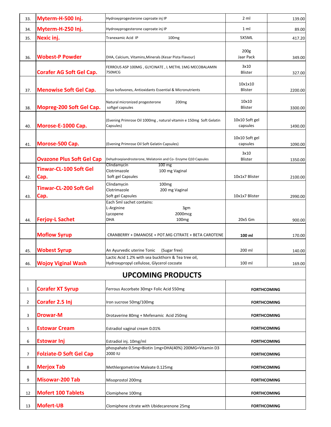| 33.            | Myterm-H-500 Inj.                | Hydroxyprogesterone caproate inj IP                                                                      | 2 <sub>m</sub>             | 139.00  |
|----------------|----------------------------------|----------------------------------------------------------------------------------------------------------|----------------------------|---------|
| 34.            | Myterm-H-250 Inj.                | Hydroxyprogesterone caproate inj IP                                                                      | 1 ml                       | 89.00   |
| 35.            | Nexic inj.                       | 100 <sub>mg</sub><br>Tranexamic Acid IP                                                                  | 5X5ML                      | 417.20  |
|                |                                  |                                                                                                          | 200 <sub>g</sub>           |         |
| 36.            | <b>Wobest-P Powder</b>           | DHA, Calcium, Vitamins, Minerals (Kesar Pista Flavour)                                                   | Jaar Pack                  | 349.00  |
|                | <b>Corafer AG Soft Gel Cap.</b>  | FERROUS ASP 100MG, GLYCINATE, L METHL 1MG MECOBALAMIN<br><b>750MCG</b>                                   | 3x10<br><b>Blister</b>     | 327.00  |
| 37.            | <b>Menowise Soft Gel Cap.</b>    | Soya Isofavones, Antioxidants Essential & Micronutrients                                                 | 10x1x10<br><b>Blister</b>  | 2200.00 |
| 38.            | Mopreg-200 Soft Gel Cap.         | Natural micronized progesterone<br>200 <sub>mg</sub><br>softgel capsules                                 | 10x10<br><b>Blister</b>    | 3300.00 |
| 40.            | Morose-E-1000 Cap.               | (Evening Primrose Oil 1000mg, natural vitamin e 150mg Soft Gelatin<br>Capsules)                          | 10x10 Soft gel<br>capsules | 1490.00 |
| 41.            | Morose-500 Cap.                  | (Evening Primrose Oil Soft Gelatin Capsules)                                                             | 10x10 Soft gel<br>capsules | 1090.00 |
|                | <b>Ovazone Plus Soft Gel Cap</b> | Dehydroepiandrosterone, Melatonin and Co- Enzyme Q10 Capsules<br>Clindamycin<br>$100 \text{ mg}$         | 3x10<br><b>Blister</b>     | 1350.00 |
| 42.            | Tinwar-CL-100 Soft Gel<br>Cap.   | Clotrimazole<br>100 mg Vaginal<br>Soft gel Capsules                                                      | 10x1x7 Blister             | 2100.00 |
| 43.            | Tinwar-CL-200 Soft Gel<br>Cap.   | 100 <sub>mg</sub><br>Clindamycin<br>Clotrimazole<br>200 mg Vaginal<br>Soft gel Capsules                  | 10x1x7 Blister             | 2990.00 |
| 44.            | <b>Ferjoy-L Sachet</b>           | Each 5ml sachet contains:<br>L-Arginine<br>3gm<br>2000mcg<br>Lycopene<br><b>DHA</b><br>100 <sub>mg</sub> | 20x5 Gm                    | 900.00  |
|                | <b>Moflow Syrup</b>              | CRANBERRY + DMANOSE + POT.MG CITRATE + BETA CAROTENE                                                     | 100 ml                     | 170.00  |
| 45.            | <b>Wobest Syrup</b>              | An Ayurvedic uterine Tonic<br>(Sugar free)<br>Lactic Acid 1.2% with sea buckthorn & Tea tree oil,        | 200 ml                     | 140.00  |
| 46.            | <b>Wojoy Viginal Wash</b>        | Hydroxypropyl cellulose, Glycerol cocoate                                                                | 100 ml                     | 169.00  |
|                |                                  | <b>UPCOMING PRODUCTS</b>                                                                                 |                            |         |
| $\mathbf{1}$   | <b>Corafer XT Syrup</b>          | Ferrous Ascorbate 30mg+ Folic Acid 550mg                                                                 | <b>FORTHCOMING</b>         |         |
| $\overline{2}$ | Corafer 2.5 Inj                  | Iron sucrose 50mg/100mg                                                                                  | <b>FORTHCOMING</b>         |         |
| 3              | <b>Drowar-M</b>                  | Drotaverine 80mg + Mefenamic Acid 250mg                                                                  | <b>FORTHCOMING</b>         |         |
| 5              | <b>Estowar Cream</b>             | Estradiol vaginal cream 0.01%                                                                            | <b>FORTHCOMING</b>         |         |
| 6              | <b>Estowar Inj</b>               | Estradiol inj. 10mg/ml                                                                                   | <b>FORTHCOMING</b>         |         |
| 7              | <b>Folziate-D Soft Gel Cap</b>   | phospahate 0.5mg+Biotin 1mg+DHA(40%) 200MG+Vitamin D3<br>2000 IU<br><b>FORTHCOMING</b>                   |                            |         |
| 8              | <b>Merjox Tab</b>                | Methlergometrine Maleate 0.125mg                                                                         | <b>FORTHCOMING</b>         |         |
| 9              | <b>Misowar-200 Tab</b>           | Misoprostol 200mg                                                                                        | <b>FORTHCOMING</b>         |         |
| 12             | <b>Mofert 100 Tablets</b>        | Clomiphene 100mg                                                                                         | <b>FORTHCOMING</b>         |         |
| 13             | <b>Mofert-UB</b>                 | Clomiphene citrate with Ubidecarenone 25mg                                                               | <b>FORTHCOMING</b>         |         |